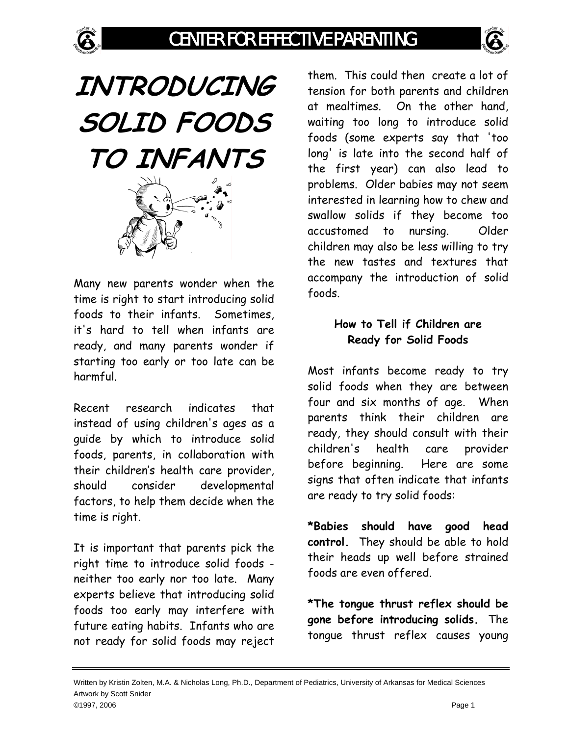

**INTRODUCING SOLID FOODS TO INFANTS** 

Many new parents wonder when the time is right to start introducing solid foods to their infants. Sometimes, it's hard to tell when infants are ready, and many parents wonder if starting too early or too late can be harmful.

Recent research indicates that instead of using children's ages as a guide by which to introduce solid foods, parents, in collaboration with their children's health care provider, should consider developmental factors, to help them decide when the time is right.

It is important that parents pick the right time to introduce solid foods neither too early nor too late. Many experts believe that introducing solid foods too early may interfere with future eating habits. Infants who are not ready for solid foods may reject

them. This could then create a lot of tension for both parents and children at mealtimes. On the other hand, waiting too long to introduce solid foods (some experts say that 'too long' is late into the second half of the first year) can also lead to problems. Older babies may not seem interested in learning how to chew and swallow solids if they become too accustomed to nursing. Older children may also be less willing to try the new tastes and textures that accompany the introduction of solid foods.

## **How to Tell if Children are Ready for Solid Foods**

Most infants become ready to try solid foods when they are between four and six months of age. When parents think their children are ready, they should consult with their children's health care provider before beginning. Here are some signs that often indicate that infants are ready to try solid foods:

**\*Babies should have good head control.** They should be able to hold their heads up well before strained foods are even offered.

**\*The tongue thrust reflex should be gone before introducing solids.** The tongue thrust reflex causes young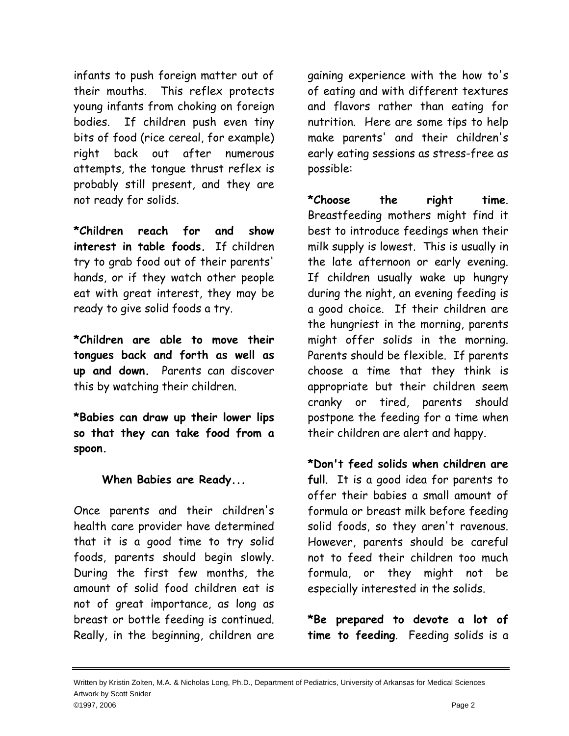infants to push foreign matter out of their mouths. This reflex protects young infants from choking on foreign bodies. If children push even tiny bits of food (rice cereal, for example) right back out after numerous attempts, the tongue thrust reflex is probably still present, and they are not ready for solids.

**\*Children reach for and show interest in table foods.** If children try to grab food out of their parents' hands, or if they watch other people eat with great interest, they may be ready to give solid foods a try.

**\*Children are able to move their tongues back and forth as well as up and down.** Parents can discover this by watching their children.

**\*Babies can draw up their lower lips so that they can take food from a spoon.**

## **When Babies are Ready...**

Once parents and their children's health care provider have determined that it is a good time to try solid foods, parents should begin slowly. During the first few months, the amount of solid food children eat is not of great importance, as long as breast or bottle feeding is continued. Really, in the beginning, children are

gaining experience with the how to's of eating and with different textures and flavors rather than eating for nutrition. Here are some tips to help make parents' and their children's early eating sessions as stress-free as possible:

**\*Choose the right time**. Breastfeeding mothers might find it best to introduce feedings when their milk supply is lowest. This is usually in the late afternoon or early evening. If children usually wake up hungry during the night, an evening feeding is a good choice. If their children are the hungriest in the morning, parents might offer solids in the morning. Parents should be flexible. If parents choose a time that they think is appropriate but their children seem cranky or tired, parents should postpone the feeding for a time when their children are alert and happy.

**\*Don't feed solids when children are full**. It is a good idea for parents to offer their babies a small amount of formula or breast milk before feeding solid foods, so they aren't ravenous. However, parents should be careful not to feed their children too much formula, or they might not be especially interested in the solids.

**\*Be prepared to devote a lot of time to feeding**. Feeding solids is a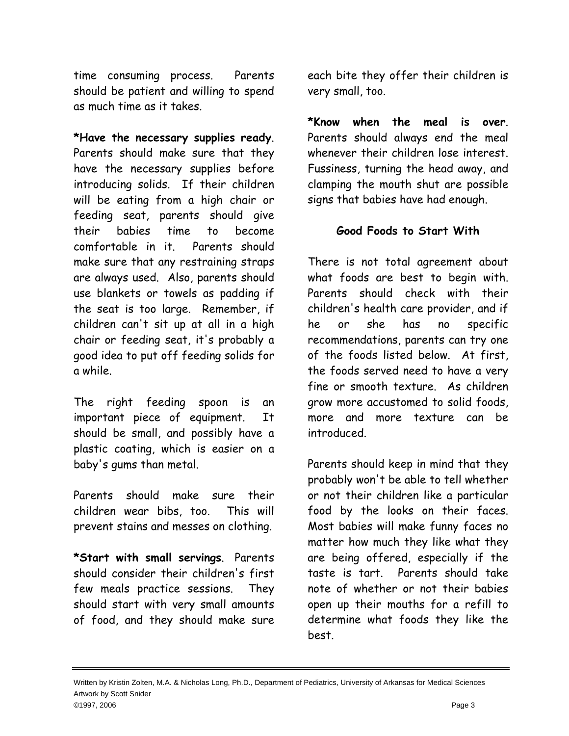time consuming process. Parents should be patient and willing to spend as much time as it takes.

**\*Have the necessary supplies ready**. Parents should make sure that they have the necessary supplies before introducing solids. If their children will be eating from a high chair or feeding seat, parents should give their babies time to become comfortable in it. Parents should make sure that any restraining straps are always used. Also, parents should use blankets or towels as padding if the seat is too large. Remember, if children can't sit up at all in a high chair or feeding seat, it's probably a good idea to put off feeding solids for a while.

The right feeding spoon is an important piece of equipment. It should be small, and possibly have a plastic coating, which is easier on a baby's gums than metal.

Parents should make sure their children wear bibs, too. This will prevent stains and messes on clothing.

**\*Start with small servings**. Parents should consider their children's first few meals practice sessions. They should start with very small amounts of food, and they should make sure each bite they offer their children is very small, too.

**\*Know when the meal is over**. Parents should always end the meal whenever their children lose interest. Fussiness, turning the head away, and clamping the mouth shut are possible signs that babies have had enough.

## **Good Foods to Start With**

There is not total agreement about what foods are best to begin with. Parents should check with their children's health care provider, and if he or she has no specific recommendations, parents can try one of the foods listed below. At first, the foods served need to have a very fine or smooth texture. As children grow more accustomed to solid foods, more and more texture can be introduced.

Parents should keep in mind that they probably won't be able to tell whether or not their children like a particular food by the looks on their faces. Most babies will make funny faces no matter how much they like what they are being offered, especially if the taste is tart. Parents should take note of whether or not their babies open up their mouths for a refill to determine what foods they like the best.